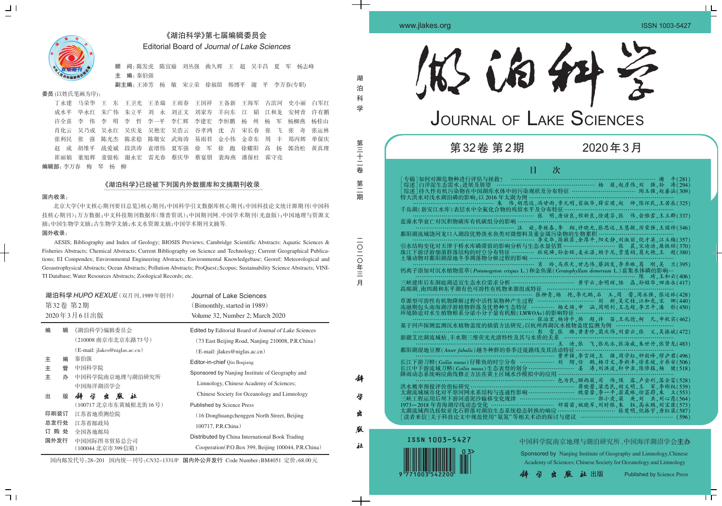# 《湖泊科学》第七届编辑委员会 Editorial Board of Journal of Lake Sciences

顾 问:陈发虎 陈宜瑜 刘丛强 曲久辉 王 超 吴丰昌 夏 军 杨志峰 主 编:秦伯强

副主编:王沛芳 杨 敏 宋立荣 徐福留 韩博平 谢 平 李万春(专职)

## 委员 (以姓氏笔画为序):

丁永建 马荣华 王 东 王卫光 王圣瑞 王雨春 王国祥 王备新 王海军 古滨河 史小丽 白军红 成水平 毕永红 朱广伟 朱立平 刘 永 刘正文 刘家寿 羊向东 江 韬 江和龙 安树青 许有鹏 许全喜 李 伟 李 明 李 哲 李一平 李仁辉 李建宏 李恒鹏 杨 州 杨 军 杨柳燕 杨桂山 肖化云 吴乃成 吴永红 吴庆龙 吴艳宏 吴浩云 谷孝鸿 沈 吉 宋长春 张 飞 张 奇 张运林 张利民 张 强 陈光杰 陈求稳 陈敬安 武海涛 易雨君 金小伟 金章东 周 丰 郑丙辉 单保庆 赵 成 胡维平 战爱斌 段洪涛 袁增伟 夏军强 徐 军 徐 跑 徐耀阳 高 扬 郭劲松 黄真理 崔丽娟 董旭辉 童银栋 谢永宏 雷光春 蔡庆华 蔡宴朋 裴海燕 潘保柱 霍守亮

编辑部:李万春 梅 琴 杨 柳

## 《湖泊科学》已经被下列国内外数据库和文摘期刊收录

### 国内收录:

北京大学《中文核心期刊要目总览》核心期刊;中国科学引文数据库核心期刊;中国科技论文统计源期刊(中国科 技核心期刊);万方数据;中文科技期刊数据库(维普资讯);中国期刊网、中国学术期刊(光盘版);中国地理与资源文 摘;中国生物学文摘;古生物学文摘;水文水资源文摘;中国学术期刊文摘等.

## 国外收录:

 $71$ 

AESIS; Bibliography and Index of Geology; BIOSIS Previews; Cambridge Scientific Abstracts: Aquatic Sciences & Fisheries Abstracts; Chemical Abstracts; Current Bibliography on Science and Technology; Current Geographical Publications; EI Compendex; Environmental Engineering Abstracts; Environmental Knowledgebase; Georef; Meteorological and Geoastrophysical Abstracts; Ocean Abstracts; Pollution Abstracts; ProQuest;Scopus; Sustainability Science Abstracts; VINI-TI Database; Water Resources Abstracts; Zoological Records; etc.

湖 泊 科 学

> 第 三 十 二 卷

第 二 期

月

科

学

出

版

社



 $\frac{\Box}{\Box}$ 

中国科学院南京地理与湖泊研究所、中国海洋湖沼学会主办 Sponsored by Nanjing Institute of Geography and Limnology,Chinese Academy of Sciences; Chinese Society for Oceanology and Limnology

**出版** Published by Science Press

国内邮发代号:28-201 国内统一刊号:CN32-1331/P 国内外公开发行 Code Number:BM4051 定价:68.00元

| 湖泊科学 HUPO KEXUE (双月刊,1989年创刊)<br>第32卷 第2期<br>2020年3月6日出版 |                                                                              | Journal of Lake Sciences<br>(Bimonthly, started in 1989)<br>Volume 32, Number 2; March 2020                                                                                  |
|----------------------------------------------------------|------------------------------------------------------------------------------|------------------------------------------------------------------------------------------------------------------------------------------------------------------------------|
| 编<br>辑                                                   | 《湖泊科学》编辑委员会<br>(210008 南京市北京东路73号)                                           | Edited by Editorial Board of Journal of Lake Sciences<br>(73 East Beijing Road, Nanjing 210008, P.R.China)                                                                   |
| 主<br>编<br>主<br>管<br>主<br>办                               | (E-mail: jlakes@niglas.ac.cn)<br>秦伯强<br>中国科学院<br>中国科学院南京地理与湖泊研究所<br>中国海洋湖沼学会 | (E-mail: jlakes@niglas.ac.cn)<br>Editor-in-chief Qin Bogiang<br>Sponsored by Nanjing Institute of Geography and<br>Limnology, Chinese Academy of Sciences;                   |
| 出<br>版                                                   | 学<br>胤<br>社<br>44<br>坐<br>(100717 北京市东黄城根北街16号)                              | Chinese Society for Oceanology and Limnology<br><b>Published by Science Press</b>                                                                                            |
| 印刷装订<br>总发行处<br>购 处<br>订<br>国外发行                         | 江苏省地质测绘院<br>江苏省邮政局<br>全国各地邮局<br>中国国际图书贸易总公司<br>(100044 北京市399信箱)             | (16 Donghuangchenggen North Street, Beijing<br>100717, P.R.China)<br>Distributed by China International Book Trading<br>Cooperation (P.O.Box 399, Beijing 100044, P.R.China) |

| 143 63 44                                                                                                          |
|--------------------------------------------------------------------------------------------------------------------|
| JOURNAL OF LAKE SCIENCES                                                                                           |
| 第32卷 第2期<br>2020年3月                                                                                                |
| 次<br>目<br>旋,李致春,李 翔,许晓光,张思远,王慧敏,厉荣强,王国祥(346)<br>汪<br>鄱阳湖流域饶河龙口入湖段优势淡水鱼类对微塑料及重金属污染物的生物累积·<br>土壤动物对鄱阳湖湿地冬季凋落物分解过程的影响 |
| 降雨动态系统响应曲线修正方法在黄土区域水沙模拟中的应用 ………………                                                                                 |



www.jlakes.org ISSN 1003-5427

 $\perp$